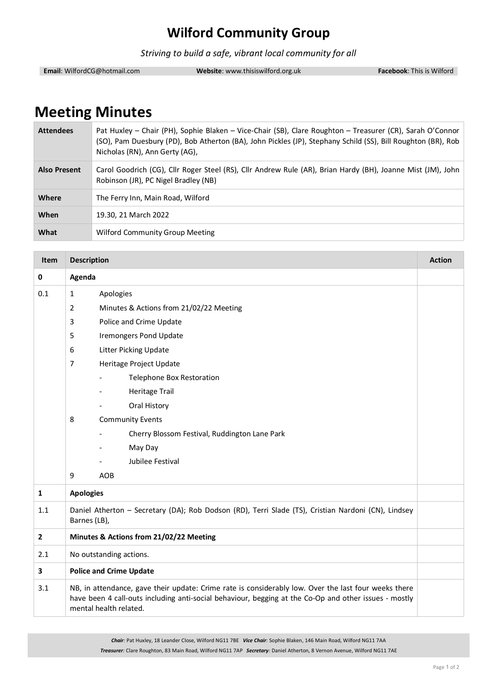## **Wilford Community Group**

*Striving to build a safe, vibrant local community for all*

**Email**: WilfordCG@hotmail.com **Website**: www.thisiswilford.org.uk **Facebook**: This is Wilford

## **Meeting Minutes**

| <b>Attendees</b>    | Pat Huxley - Chair (PH), Sophie Blaken - Vice-Chair (SB), Clare Roughton - Treasurer (CR), Sarah O'Connor<br>(SO), Pam Duesbury (PD), Bob Atherton (BA), John Pickles (JP), Stephany Schild (SS), Bill Roughton (BR), Rob<br>Nicholas (RN), Ann Gerty (AG), |  |
|---------------------|-------------------------------------------------------------------------------------------------------------------------------------------------------------------------------------------------------------------------------------------------------------|--|
| <b>Also Present</b> | Carol Goodrich (CG), Cllr Roger Steel (RS), Cllr Andrew Rule (AR), Brian Hardy (BH), Joanne Mist (JM), John<br>Robinson (JR), PC Nigel Bradley (NB)                                                                                                         |  |
| Where               | The Ferry Inn, Main Road, Wilford                                                                                                                                                                                                                           |  |
| When                | 19.30, 21 March 2022                                                                                                                                                                                                                                        |  |
| What                | <b>Wilford Community Group Meeting</b>                                                                                                                                                                                                                      |  |

| Item         | <b>Description</b>                                                                                                                                                                                                                      |                                               | <b>Action</b> |
|--------------|-----------------------------------------------------------------------------------------------------------------------------------------------------------------------------------------------------------------------------------------|-----------------------------------------------|---------------|
| 0            | Agenda                                                                                                                                                                                                                                  |                                               |               |
| 0.1          | $\mathbf{1}$                                                                                                                                                                                                                            | Apologies                                     |               |
|              | $\overline{2}$                                                                                                                                                                                                                          | Minutes & Actions from 21/02/22 Meeting       |               |
|              | 3                                                                                                                                                                                                                                       | Police and Crime Update                       |               |
|              | 5                                                                                                                                                                                                                                       | <b>Iremongers Pond Update</b>                 |               |
|              | 6                                                                                                                                                                                                                                       | Litter Picking Update                         |               |
|              | $\overline{7}$                                                                                                                                                                                                                          | Heritage Project Update                       |               |
|              |                                                                                                                                                                                                                                         | Telephone Box Restoration                     |               |
|              |                                                                                                                                                                                                                                         | <b>Heritage Trail</b>                         |               |
|              |                                                                                                                                                                                                                                         | Oral History                                  |               |
|              | 8                                                                                                                                                                                                                                       | <b>Community Events</b>                       |               |
|              |                                                                                                                                                                                                                                         | Cherry Blossom Festival, Ruddington Lane Park |               |
|              |                                                                                                                                                                                                                                         | May Day                                       |               |
|              |                                                                                                                                                                                                                                         | Jubilee Festival                              |               |
|              | 9                                                                                                                                                                                                                                       | <b>AOB</b>                                    |               |
| $\mathbf{1}$ | <b>Apologies</b>                                                                                                                                                                                                                        |                                               |               |
| 1.1          | Daniel Atherton - Secretary (DA); Rob Dodson (RD), Terri Slade (TS), Cristian Nardoni (CN), Lindsey<br>Barnes (LB),                                                                                                                     |                                               |               |
| $\mathbf{2}$ | Minutes & Actions from 21/02/22 Meeting                                                                                                                                                                                                 |                                               |               |
| 2.1          | No outstanding actions.                                                                                                                                                                                                                 |                                               |               |
| 3            | <b>Police and Crime Update</b>                                                                                                                                                                                                          |                                               |               |
| 3.1          | NB, in attendance, gave their update: Crime rate is considerably low. Over the last four weeks there<br>have been 4 call-outs including anti-social behaviour, begging at the Co-Op and other issues - mostly<br>mental health related. |                                               |               |